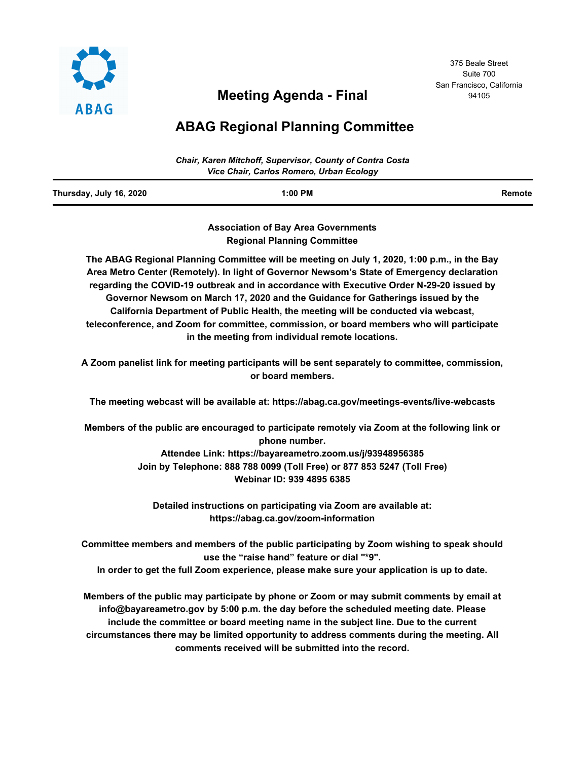

# **Meeting Agenda - Final**

375 Beale Street Suite 700 San Francisco, California 94105

# **ABAG Regional Planning Committee**

|                                          | Chair, Karen Mitchoff, Supervisor, County of Contra Costa |        |
|------------------------------------------|-----------------------------------------------------------|--------|
| Vice Chair, Carlos Romero, Urban Ecology |                                                           |        |
| Thursday, July 16, 2020                  | $1:00$ PM                                                 | Remote |

**Association of Bay Area Governments Regional Planning Committee**

**The ABAG Regional Planning Committee will be meeting on July 1, 2020, 1:00 p.m., in the Bay Area Metro Center (Remotely). In light of Governor Newsom's State of Emergency declaration regarding the COVID-19 outbreak and in accordance with Executive Order N-29-20 issued by Governor Newsom on March 17, 2020 and the Guidance for Gatherings issued by the California Department of Public Health, the meeting will be conducted via webcast, teleconference, and Zoom for committee, commission, or board members who will participate in the meeting from individual remote locations.**

**A Zoom panelist link for meeting participants will be sent separately to committee, commission, or board members.**

**The meeting webcast will be available at: https://abag.ca.gov/meetings-events/live-webcasts**

**Members of the public are encouraged to participate remotely via Zoom at the following link or phone number.**

> **Attendee Link: https://bayareametro.zoom.us/j/93948956385 Join by Telephone: 888 788 0099 (Toll Free) or 877 853 5247 (Toll Free) Webinar ID: 939 4895 6385**

**Detailed instructions on participating via Zoom are available at: https://abag.ca.gov/zoom-information**

**Committee members and members of the public participating by Zoom wishing to speak should use the "raise hand" feature or dial "\*9".**

**In order to get the full Zoom experience, please make sure your application is up to date.**

**Members of the public may participate by phone or Zoom or may submit comments by email at info@bayareametro.gov by 5:00 p.m. the day before the scheduled meeting date. Please include the committee or board meeting name in the subject line. Due to the current circumstances there may be limited opportunity to address comments during the meeting. All comments received will be submitted into the record.**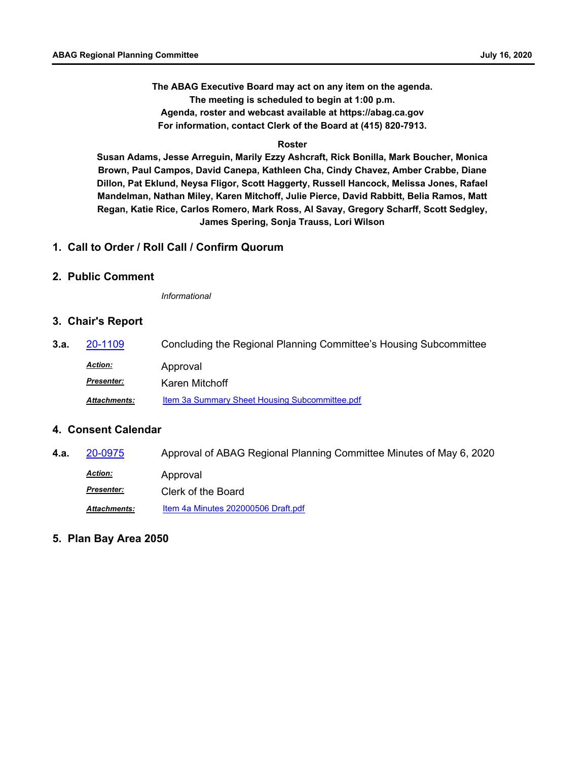**The ABAG Executive Board may act on any item on the agenda. The meeting is scheduled to begin at 1:00 p.m. Agenda, roster and webcast available at https://abag.ca.gov For information, contact Clerk of the Board at (415) 820-7913.**

#### **Roster**

**Susan Adams, Jesse Arreguin, Marily Ezzy Ashcraft, Rick Bonilla, Mark Boucher, Monica Brown, Paul Campos, David Canepa, Kathleen Cha, Cindy Chavez, Amber Crabbe, Diane Dillon, Pat Eklund, Neysa Fligor, Scott Haggerty, Russell Hancock, Melissa Jones, Rafael Mandelman, Nathan Miley, Karen Mitchoff, Julie Pierce, David Rabbitt, Belia Ramos, Matt Regan, Katie Rice, Carlos Romero, Mark Ross, Al Savay, Gregory Scharff, Scott Sedgley, James Spering, Sonja Trauss, Lori Wilson**

## **1. Call to Order / Roll Call / Confirm Quorum**

#### **2. Public Comment**

*Informational*

#### **3. Chair's Report**

**3.a.** [20-1109](http://mtc.legistar.com/gateway.aspx?m=l&id=/matter.aspx?key=20974) Concluding the Regional Planning Committee's Housing Subcommittee Approval *Action:* Karen Mitchoff *Presenter:* Attachments: [Item 3a Summary Sheet Housing Subcommittee.pdf](http://mtc.legistar.com/gateway.aspx?M=F&ID=b5e655bc-78a3-4fcc-8065-59b078eeccc7.pdf)

## **4. Consent Calendar**

- **4.a.** [20-0975](http://mtc.legistar.com/gateway.aspx?m=l&id=/matter.aspx?key=20839) Approval of ABAG Regional Planning Committee Minutes of May 6, 2020 Approval *Action: Presenter:* Clerk of the Board *Attachments:* [Item 4a Minutes 202000506 Draft.pdf](http://mtc.legistar.com/gateway.aspx?M=F&ID=2d511b27-158c-4347-963a-ac4fa668c9a7.pdf)
- **5. Plan Bay Area 2050**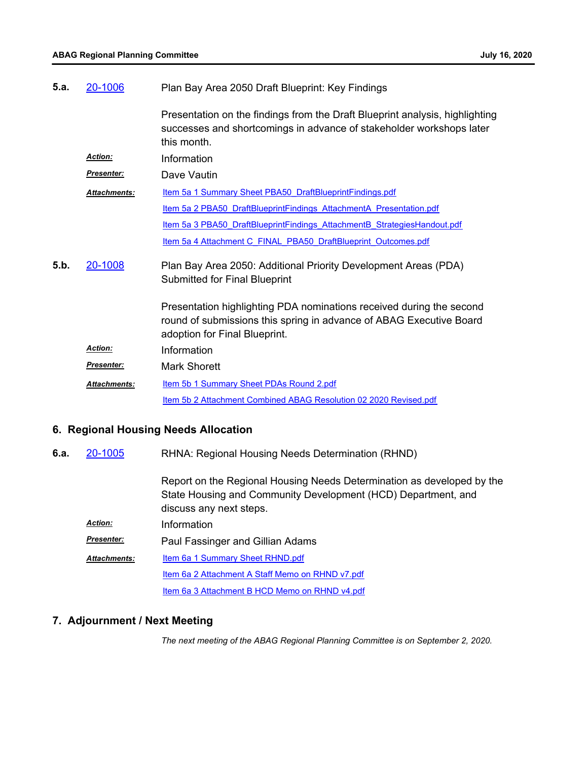| 5.a. | 20-1006             | Plan Bay Area 2050 Draft Blueprint: Key Findings                                                                                                                             |
|------|---------------------|------------------------------------------------------------------------------------------------------------------------------------------------------------------------------|
|      |                     | Presentation on the findings from the Draft Blueprint analysis, highlighting<br>successes and shortcomings in advance of stakeholder workshops later<br>this month.          |
|      | <b>Action:</b>      | Information                                                                                                                                                                  |
|      | <b>Presenter:</b>   | Dave Vautin                                                                                                                                                                  |
|      | <b>Attachments:</b> | Item 5a 1 Summary Sheet PBA50 DraftBlueprintFindings.pdf                                                                                                                     |
|      |                     | Item 5a 2 PBA50 DraftBlueprintFindings AttachmentA Presentation.pdf                                                                                                          |
|      |                     | Item 5a 3 PBA50 DraftBlueprintFindings AttachmentB StrategiesHandout.pdf                                                                                                     |
|      |                     | Item 5a 4 Attachment C FINAL PBA50 DraftBlueprint Outcomes.pdf                                                                                                               |
| 5.b. | 20-1008             | Plan Bay Area 2050: Additional Priority Development Areas (PDA)<br>Submitted for Final Blueprint                                                                             |
|      |                     | Presentation highlighting PDA nominations received during the second<br>round of submissions this spring in advance of ABAG Executive Board<br>adoption for Final Blueprint. |
|      | <b>Action:</b>      | Information                                                                                                                                                                  |
|      | <b>Presenter:</b>   | Mark Shorett                                                                                                                                                                 |
|      | <b>Attachments:</b> | <b>Item 5b 1 Summary Sheet PDAs Round 2.pdf</b>                                                                                                                              |
|      |                     | Item 5b 2 Attachment Combined ABAG Resolution 02 2020 Revised.pdf                                                                                                            |
|      |                     |                                                                                                                                                                              |

# **6. Regional Housing Needs Allocation**

RHNA: Regional Housing Needs Determination (RHND) **6.a.** [20-1005](http://mtc.legistar.com/gateway.aspx?m=l&id=/matter.aspx?key=20869)

> Report on the Regional Housing Needs Determination as developed by the State Housing and Community Development (HCD) Department, and discuss any next steps.

| Action:           | Information                                      |  |  |
|-------------------|--------------------------------------------------|--|--|
| <u>Presenter:</u> | Paul Fassinger and Gillian Adams                 |  |  |
| Attachments:      | Item 6a 1 Summary Sheet RHND.pdf                 |  |  |
|                   | Item 6a 2 Attachment A Staff Memo on RHND v7.pdf |  |  |
|                   | Item 6a 3 Attachment B HCD Memo on RHND v4.pdf   |  |  |

## **7. Adjournment / Next Meeting**

*The next meeting of the ABAG Regional Planning Committee is on September 2, 2020.*